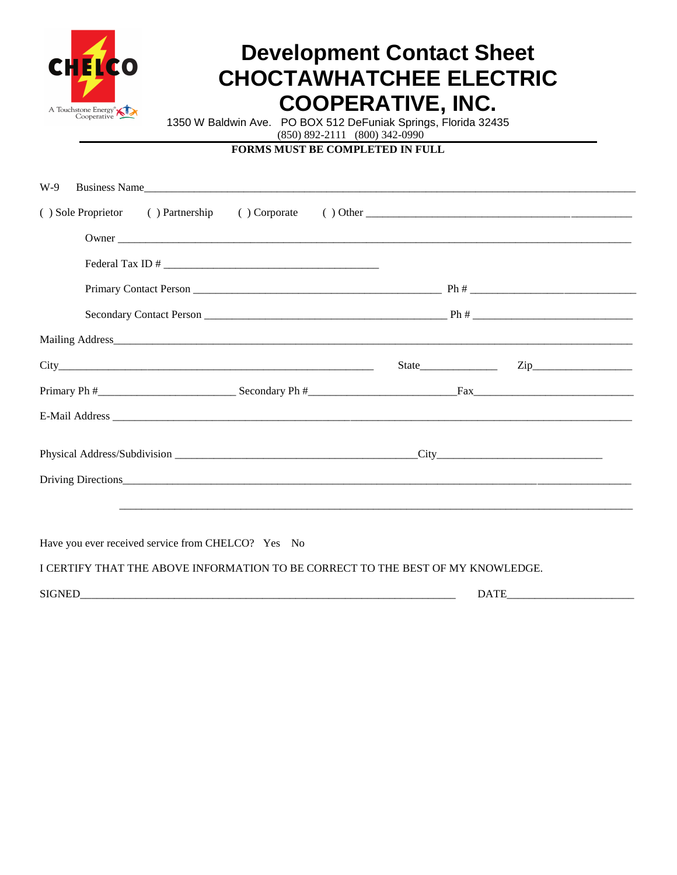

## **Development Contact Sheet CHOCTAWHATCHEE ELECTRIC COOPERATIVE, INC.**

1350 W Baldwin Ave. PO BOX 512 DeFuniak Springs, Florida 32435

 $(850) 892 - 2111 (800) 342 - 0990$ 

## **FORMS MUST BE COMPLETED IN FULL**

| Business Name<br>W-9 |  |                  |
|----------------------|--|------------------|
|                      |  |                  |
|                      |  |                  |
|                      |  |                  |
|                      |  |                  |
|                      |  |                  |
|                      |  |                  |
|                      |  | $\mathsf{Zip}\_$ |
|                      |  |                  |
|                      |  |                  |
|                      |  |                  |
|                      |  |                  |
|                      |  |                  |
|                      |  |                  |
|                      |  |                  |

Have you ever received service from CHELCO? Yes No

I CERTIFY THAT THE ABOVE INFORMATION TO BE CORRECT TO THE BEST OF MY KNOWLEDGE.

**DATE**